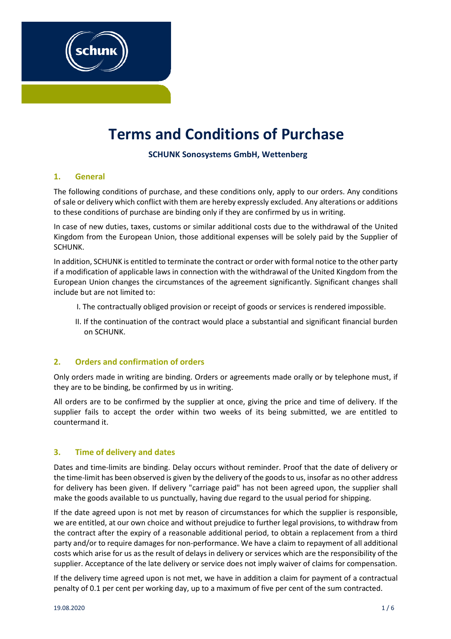# **Terms and Conditions of Purchase**

# **SCHUNK Sonosystems GmbH, Wettenberg**

### **1. General**

The following conditions of purchase, and these conditions only, apply to our orders. Any conditions of sale or delivery which conflict with them are hereby expressly excluded. Any alterations or additions to these conditions of purchase are binding only if they are confirmed by us in writing.

In case of new duties, taxes, customs or similar additional costs due to the withdrawal of the United Kingdom from the European Union, those additional expenses will be solely paid by the Supplier of SCHUNK.

In addition, SCHUNK is entitled to terminate the contract or order with formal notice to the other party if a modification of applicable laws in connection with the withdrawal of the United Kingdom from the European Union changes the circumstances of the agreement significantly. Significant changes shall include but are not limited to:

- I. The contractually obliged provision or receipt of goods or services is rendered impossible.
- II. If the continuation of the contract would place a substantial and significant financial burden on SCHUNK.

## **2. Orders and confirmation of orders**

Only orders made in writing are binding. Orders or agreements made orally or by telephone must, if they are to be binding, be confirmed by us in writing.

All orders are to be confirmed by the supplier at once, giving the price and time of delivery. If the supplier fails to accept the order within two weeks of its being submitted, we are entitled to countermand it.

## **3. Time of delivery and dates**

Dates and time-limits are binding. Delay occurs without reminder. Proof that the date of delivery or the time-limit has been observed is given by the delivery of the goods to us, insofar as no other address for delivery has been given. If delivery "carriage paid" has not been agreed upon, the supplier shall make the goods available to us punctually, having due regard to the usual period for shipping.

If the date agreed upon is not met by reason of circumstances for which the supplier is responsible, we are entitled, at our own choice and without prejudice to further legal provisions, to withdraw from the contract after the expiry of a reasonable additional period, to obtain a replacement from a third party and/or to require damages for non-performance. We have a claim to repayment of all additional costs which arise for us as the result of delays in delivery or services which are the responsibility of the supplier. Acceptance of the late delivery or service does not imply waiver of claims for compensation.

If the delivery time agreed upon is not met, we have in addition a claim for payment of a contractual penalty of 0.1 per cent per working day, up to a maximum of five per cent of the sum contracted.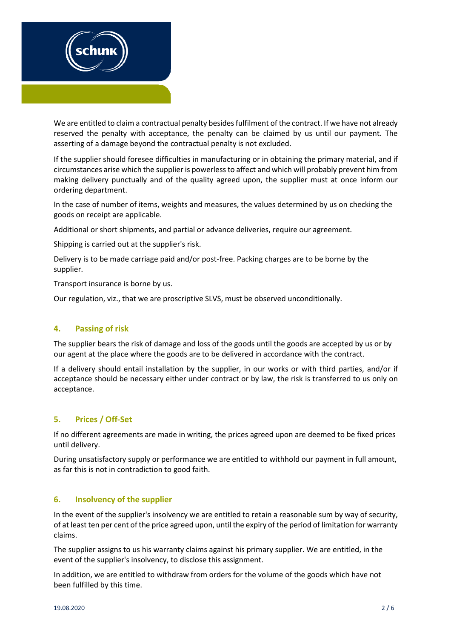

We are entitled to claim a contractual penalty besides fulfilment of the contract. If we have not already reserved the penalty with acceptance, the penalty can be claimed by us until our payment. The asserting of a damage beyond the contractual penalty is not excluded.

If the supplier should foresee difficulties in manufacturing or in obtaining the primary material, and if circumstances arise which the supplier is powerless to affect and which will probably prevent him from making delivery punctually and of the quality agreed upon, the supplier must at once inform our ordering department.

In the case of number of items, weights and measures, the values determined by us on checking the goods on receipt are applicable.

Additional or short shipments, and partial or advance deliveries, require our agreement.

Shipping is carried out at the supplier's risk.

Delivery is to be made carriage paid and/or post-free. Packing charges are to be borne by the supplier.

Transport insurance is borne by us.

Our regulation, viz., that we are proscriptive SLVS, must be observed unconditionally.

### **4. Passing of risk**

The supplier bears the risk of damage and loss of the goods until the goods are accepted by us or by our agent at the place where the goods are to be delivered in accordance with the contract.

If a delivery should entail installation by the supplier, in our works or with third parties, and/or if acceptance should be necessary either under contract or by law, the risk is transferred to us only on acceptance.

### **5. Prices / Off-Set**

If no different agreements are made in writing, the prices agreed upon are deemed to be fixed prices until delivery.

During unsatisfactory supply or performance we are entitled to withhold our payment in full amount, as far this is not in contradiction to good faith.

### **6. Insolvency of the supplier**

In the event of the supplier's insolvency we are entitled to retain a reasonable sum by way of security, of at least ten per cent of the price agreed upon, until the expiry of the period of limitation for warranty claims.

The supplier assigns to us his warranty claims against his primary supplier. We are entitled, in the event of the supplier's insolvency, to disclose this assignment.

In addition, we are entitled to withdraw from orders for the volume of the goods which have not been fulfilled by this time.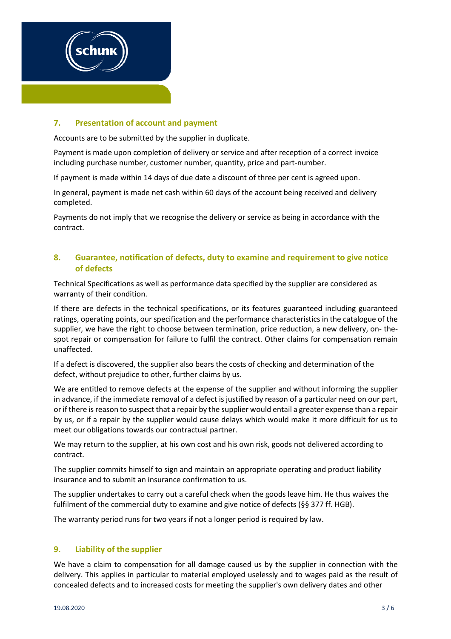

## **7. Presentation of account and payment**

Accounts are to be submitted by the supplier in duplicate.

Payment is made upon completion of delivery or service and after reception of a correct invoice including purchase number, customer number, quantity, price and part-number.

If payment is made within 14 days of due date a discount of three per cent is agreed upon.

In general, payment is made net cash within 60 days of the account being received and delivery completed.

Payments do not imply that we recognise the delivery or service as being in accordance with the contract.

## **8. Guarantee, notification of defects, duty to examine and requirement to give notice of defects**

Technical Specifications as well as performance data specified by the supplier are considered as warranty of their condition.

If there are defects in the technical specifications, or its features guaranteed including guaranteed ratings, operating points, our specification and the performance characteristics in the catalogue of the supplier, we have the right to choose between termination, price reduction, a new delivery, on- thespot repair or compensation for failure to fulfil the contract. Other claims for compensation remain unaffected.

If a defect is discovered, the supplier also bears the costs of checking and determination of the defect, without prejudice to other, further claims by us.

We are entitled to remove defects at the expense of the supplier and without informing the supplier in advance, if the immediate removal of a defect is justified by reason of a particular need on our part, or if there is reason to suspect that a repair by the supplier would entail a greater expense than a repair by us, or if a repair by the supplier would cause delays which would make it more difficult for us to meet our obligations towards our contractual partner.

We may return to the supplier, at his own cost and his own risk, goods not delivered according to contract.

The supplier commits himself to sign and maintain an appropriate operating and product liability insurance and to submit an insurance confirmation to us.

The supplier undertakes to carry out a careful check when the goods leave him. He thus waives the fulfilment of the commercial duty to examine and give notice of defects (§§ 377 ff. HGB).

The warranty period runs for two years if not a longer period is required by law.

## **9. Liability of the supplier**

We have a claim to compensation for all damage caused us by the supplier in connection with the delivery. This applies in particular to material employed uselessly and to wages paid as the result of concealed defects and to increased costs for meeting the supplier's own delivery dates and other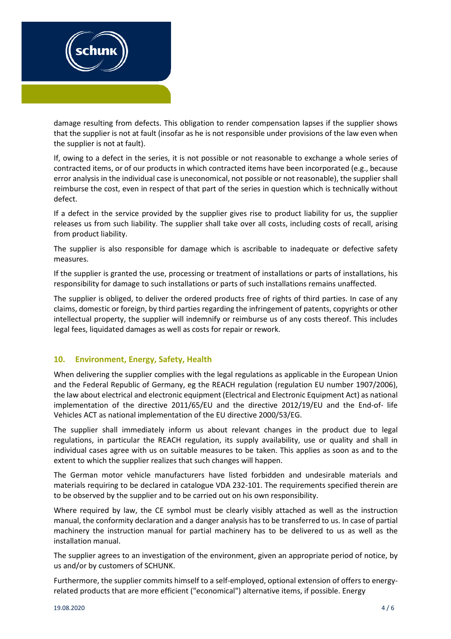

damage resulting from defects. This obligation to render compensation lapses if the supplier shows that the supplier is not at fault (insofar as he is not responsible under provisions of the law even when the supplier is not at fault).

If, owing to a defect in the series, it is not possible or not reasonable to exchange a whole series of contracted items, or of our products in which contracted items have been incorporated (e.g., because error analysis in the individual case is uneconomical, not possible or not reasonable), the supplier shall reimburse the cost, even in respect of that part of the series in question which is technically without defect.

If a defect in the service provided by the supplier gives rise to product liability for us, the supplier releases us from such liability. The supplier shall take over all costs, including costs of recall, arising from product liability.

The supplier is also responsible for damage which is ascribable to inadequate or defective safety measures.

If the supplier is granted the use, processing or treatment of installations or parts of installations, his responsibility for damage to such installations or parts of such installations remains unaffected.

The supplier is obliged, to deliver the ordered products free of rights of third parties. In case of any claims, domestic or foreign, by third parties regarding the infringement of patents, copyrights or other intellectual property, the supplier will indemnify or reimburse us of any costs thereof. This includes legal fees, liquidated damages as well as costs for repair or rework.

## **10. Environment, Energy, Safety, Health**

When delivering the supplier complies with the legal regulations as applicable in the European Union and the Federal Republic of Germany, eg the REACH regulation (regulation EU number 1907/2006), the law about electrical and electronic equipment (Electrical and Electronic Equipment Act) as national implementation of the directive 2011/65/EU and the directive 2012/19/EU and the End-of- life Vehicles ACT as national implementation of the EU directive 2000/53/EG.

The supplier shall immediately inform us about relevant changes in the product due to legal regulations, in particular the REACH regulation, its supply availability, use or quality and shall in individual cases agree with us on suitable measures to be taken. This applies as soon as and to the extent to which the supplier realizes that such changes will happen.

The German motor vehicle manufacturers have listed forbidden and undesirable materials and materials requiring to be declared in catalogue VDA 232-101. The requirements specified therein are to be observed by the supplier and to be carried out on his own responsibility.

Where required by law, the CE symbol must be clearly visibly attached as well as the instruction manual, the conformity declaration and a danger analysis has to be transferred to us. In case of partial machinery the instruction manual for partial machinery has to be delivered to us as well as the installation manual.

The supplier agrees to an investigation of the environment, given an appropriate period of notice, by us and/or by customers of SCHUNK.

Furthermore, the supplier commits himself to a self-employed, optional extension of offers to energyrelated products that are more efficient ("economical") alternative items, if possible. Energy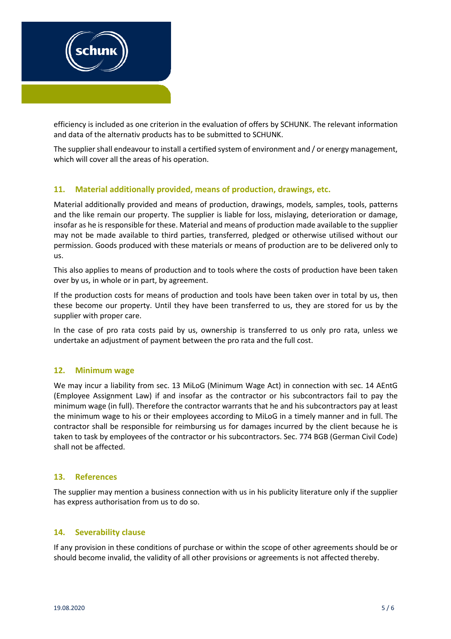

efficiency is included as one criterion in the evaluation of offers by SCHUNK. The relevant information and data of the alternativ products has to be submitted to SCHUNK.

The supplier shall endeavour to install a certified system of environment and / or energy management, which will cover all the areas of his operation.

# **11. Material additionally provided, means of production, drawings, etc.**

Material additionally provided and means of production, drawings, models, samples, tools, patterns and the like remain our property. The supplier is liable for loss, mislaying, deterioration or damage, insofar as he is responsible for these. Material and means of production made available to the supplier may not be made available to third parties, transferred, pledged or otherwise utilised without our permission. Goods produced with these materials or means of production are to be delivered only to us.

This also applies to means of production and to tools where the costs of production have been taken over by us, in whole or in part, by agreement.

If the production costs for means of production and tools have been taken over in total by us, then these become our property. Until they have been transferred to us, they are stored for us by the supplier with proper care.

In the case of pro rata costs paid by us, ownership is transferred to us only pro rata, unless we undertake an adjustment of payment between the pro rata and the full cost.

### **12. Minimum wage**

We may incur a liability from sec. 13 MiLoG (Minimum Wage Act) in connection with sec. 14 AEntG (Employee Assignment Law) if and insofar as the contractor or his subcontractors fail to pay the minimum wage (in full). Therefore the contractor warrants that he and his subcontractors pay at least the minimum wage to his or their employees according to MiLoG in a timely manner and in full. The contractor shall be responsible for reimbursing us for damages incurred by the client because he is taken to task by employees of the contractor or his subcontractors. Sec. 774 BGB (German Civil Code) shall not be affected.

### **13. References**

The supplier may mention a business connection with us in his publicity literature only if the supplier has express authorisation from us to do so.

### **14. Severability clause**

If any provision in these conditions of purchase or within the scope of other agreements should be or should become invalid, the validity of all other provisions or agreements is not affected thereby.